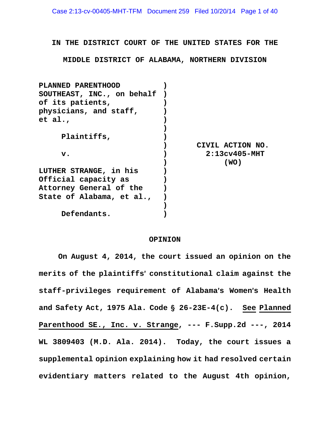**IN THE DISTRICT COURT OF THE UNITED STATES FOR THE**

**MIDDLE DISTRICT OF ALABAMA, NORTHERN DIVISION** 

| PLANNED PARENTHOOD         |                  |
|----------------------------|------------------|
| SOUTHEAST, INC., on behalf |                  |
| of its patients,           |                  |
| physicians, and staff,     |                  |
| et al.,                    |                  |
|                            |                  |
| Plaintiffs,                |                  |
|                            | CIVIL ACTION NO. |
| $\mathbf v$ .              | $2:13cv405-MHT$  |
|                            | (WO)             |
| LUTHER STRANGE, in his     |                  |
| Official capacity as       |                  |
| Attorney General of the    |                  |
| State of Alabama, et al.,  |                  |
|                            |                  |
| Defendants.                |                  |

#### **OPINION**

**On August 4, 2014, the court issued an opinion on the merits of the plaintiffs**= **constitutional claim against the staff-privileges requirement of Alabama**=**s Women**=**s Health**  and Safety Act, 1975 Ala. Code § 26-23E-4(c). See Planned **Parenthood SE., Inc. v. Strange, --- F.Supp.2d ---, 2014 WL 3809403 (M.D. Ala. 2014). Today, the court issues a supplemental opinion explaining how it had resolved certain evidentiary matters related to the August 4th opinion,**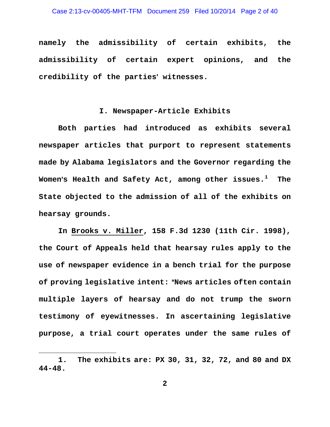**namely the admissibility of certain exhibits, the admissibility of certain expert opinions, and the**  credibility of the parties' witnesses.

### **I. Newspaper-Article Exhibits**

**Both parties had introduced as exhibits several newspaper articles that purport to represent statements made by Alabama legislators and the Governor regarding the Women**=**s Health and Safety Act, among other issues.<sup>1</sup> The State objected to the admission of all of the exhibits on hearsay grounds.** 

**In Brooks v. Miller, 158 F.3d 1230 (11th Cir. 1998), the Court of Appeals held that hearsay rules apply to the use of newspaper evidence in a bench trial for the purpose of proving legislative intent: "News articles often contain multiple layers of hearsay and do not trump the sworn testimony of eyewitnesses. In ascertaining legislative purpose, a trial court operates under the same rules of** 

i

**<sup>1.</sup> The exhibits are: PX 30, 31, 32, 72, and 80 and DX 44-48.**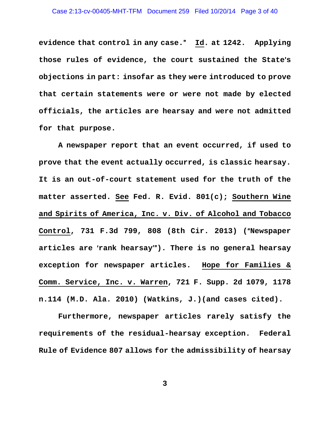**evidence that control in any case.**@ **Id. at 1242. Applying**  those rules of evidence, the court sustained the State's **objections in part: insofar as they were introduced to prove that certain statements were or were not made by elected officials, the articles are hearsay and were not admitted for that purpose.** 

**A newspaper report that an event occurred, if used to prove that the event actually occurred, is classic hearsay. It is an out-of-court statement used for the truth of the matter asserted. See Fed. R. Evid. 801(c); Southern Wine and Spirits of America, Inc. v. Div. of Alcohol and Tobacco**  Control, 731 F.3d 799, 808 (8th Cir. 2013) ("Newspaper articles are 'rank hearsay"). There is no general hearsay **exception for newspaper articles. Hope for Families & Comm. Service, Inc. v. Warren, 721 F. Supp. 2d 1079, 1178 n.114 (M.D. Ala. 2010) (Watkins, J.)(and cases cited).** 

**Furthermore, newspaper articles rarely satisfy the requirements of the residual-hearsay exception. Federal Rule of Evidence 807 allows for the admissibility of hearsay**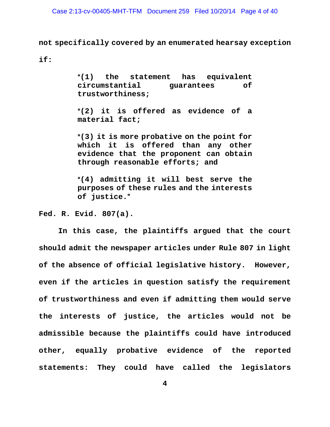**not specifically covered by an enumerated hearsay exception** 

**if:** 

A**(1) the statement has equivalent circumstantial guarantees of trustworthiness;** 

A**(2) it is offered as evidence of a material fact;** 

A**(3) it is more probative on the point for which it is offered than any other evidence that the proponent can obtain through reasonable efforts; and** 

A**(4) admitting it will best serve the purposes of these rules and the interests of justice.**@

**Fed. R. Evid. 807(a).** 

**In this case, the plaintiffs argued that the court should admit the newspaper articles under Rule 807 in light of the absence of official legislative history. However, even if the articles in question satisfy the requirement of trustworthiness and even if admitting them would serve the interests of justice, the articles would not be admissible because the plaintiffs could have introduced other, equally probative evidence of the reported statements: They could have called the legislators**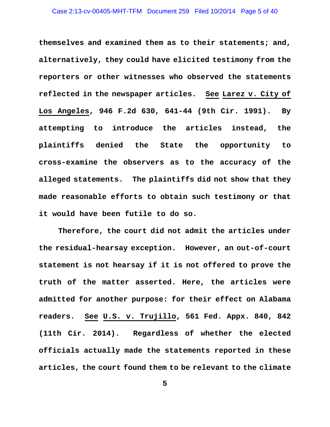#### Case 2:13-cv-00405-MHT-TFM Document 259 Filed 10/20/14 Page 5 of 40

**themselves and examined them as to their statements; and, alternatively, they could have elicited testimony from the reporters or other witnesses who observed the statements reflected in the newspaper articles. See Larez v. City of Los Angeles, 946 F.2d 630, 641-44 (9th Cir. 1991). By attempting to introduce the articles instead, the plaintiffs denied the State the opportunity to cross-examine the observers as to the accuracy of the alleged statements. The plaintiffs did not show that they made reasonable efforts to obtain such testimony or that it would have been futile to do so.** 

**Therefore, the court did not admit the articles under the residual-hearsay exception. However, an out-of-court statement is not hearsay if it is not offered to prove the truth of the matter asserted. Here, the articles were admitted for another purpose: for their effect on Alabama readers. See U.S. v. Trujillo, 561 Fed. Appx. 840, 842 (11th Cir. 2014). Regardless of whether the elected officials actually made the statements reported in these articles, the court found them to be relevant to the climate**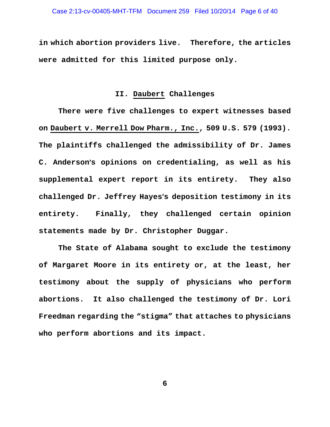**in which abortion providers live. Therefore, the articles were admitted for this limited purpose only.** 

# **II. Daubert Challenges**

**There were five challenges to expert witnesses based on Daubert v. Merrell Dow Pharm., Inc., 509 U.S. 579 (1993). The plaintiffs challenged the admissibility of Dr. James C. Anderson**=**s opinions on credentialing, as well as his supplemental expert report in its entirety. They also challenged Dr. Jeffrey Hayes**=**s deposition testimony in its entirety. Finally, they challenged certain opinion statements made by Dr. Christopher Duggar.** 

**The State of Alabama sought to exclude the testimony of Margaret Moore in its entirety or, at the least, her testimony about the supply of physicians who perform abortions. It also challenged the testimony of Dr. Lori Freedman regarding the "stigma" that attaches to physicians who perform abortions and its impact.**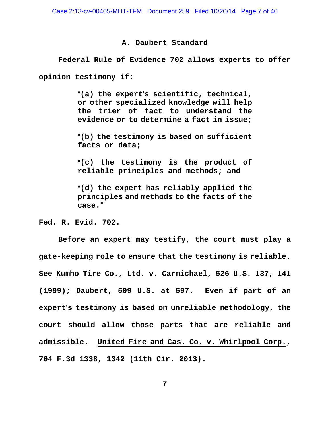## **A. Daubert Standard**

**Federal Rule of Evidence 702 allows experts to offer opinion testimony if:** 

> A**(a) the expert**=**s scientific, technical, or other specialized knowledge will help the trier of fact to understand the evidence or to determine a fact in issue;**

> A**(b) the testimony is based on sufficient facts or data;**

> A**(c) the testimony is the product of reliable principles and methods; and**

> A**(d) the expert has reliably applied the principles and methods to the facts of the case.**@

**Fed. R. Evid. 702.** 

**Before an expert may testify, the court must play a gate-keeping role to ensure that the testimony is reliable. See Kumho Tire Co., Ltd. v. Carmichael, 526 U.S. 137, 141 (1999); Daubert, 509 U.S. at 597. Even if part of an**  expert's testimony is based on unreliable methodology, the **court should allow those parts that are reliable and admissible. United Fire and Cas. Co. v. Whirlpool Corp., 704 F.3d 1338, 1342 (11th Cir. 2013).**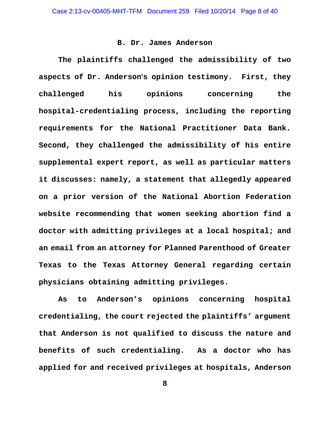## **B. Dr. James Anderson**

**The plaintiffs challenged the admissibility of two**  aspects of Dr. Anderson's opinion testimony. First, they **challenged his opinions concerning the hospital-credentialing process, including the reporting requirements for the National Practitioner Data Bank. Second, they challenged the admissibility of his entire supplemental expert report, as well as particular matters it discusses: namely, a statement that allegedly appeared on a prior version of the National Abortion Federation website recommending that women seeking abortion find a doctor with admitting privileges at a local hospital; and an email from an attorney for Planned Parenthood of Greater Texas to the Texas Attorney General regarding certain physicians obtaining admitting privileges.** 

**As to Anderson's opinions concerning hospital credentialing, the court rejected the plaintiffs' argument that Anderson is not qualified to discuss the nature and benefits of such credentialing. As a doctor who has applied for and received privileges at hospitals, Anderson**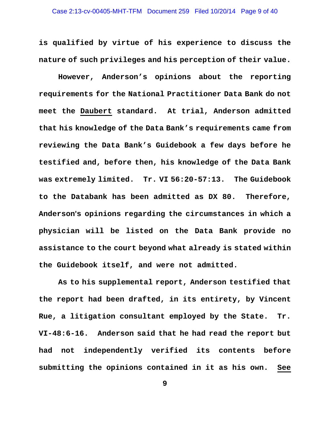**is qualified by virtue of his experience to discuss the nature of such privileges and his perception of their value.** 

**However, Anderson's opinions about the reporting requirements for the National Practitioner Data Bank do not meet the Daubert standard. At trial, Anderson admitted that his knowledge of the Data Bank's requirements came from reviewing the Data Bank's Guidebook a few days before he testified and, before then, his knowledge of the Data Bank was extremely limited. Tr. VI 56:20-57:13. The Guidebook to the Databank has been admitted as DX 80. Therefore, Anderson**=**s opinions regarding the circumstances in which a physician will be listed on the Data Bank provide no assistance to the court beyond what already is stated within the Guidebook itself, and were not admitted.** 

**As to his supplemental report, Anderson testified that the report had been drafted, in its entirety, by Vincent Rue, a litigation consultant employed by the State. Tr. VI-48:6-16. Anderson said that he had read the report but had not independently verified its contents before submitting the opinions contained in it as his own. See**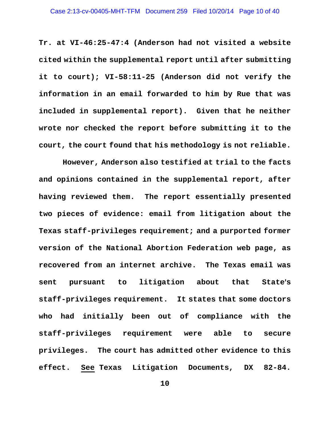**Tr. at VI-46:25-47:4 (Anderson had not visited a website cited within the supplemental report until after submitting it to court); VI-58:11-25 (Anderson did not verify the information in an email forwarded to him by Rue that was included in supplemental report). Given that he neither wrote nor checked the report before submitting it to the court, the court found that his methodology is not reliable.** 

 **However, Anderson also testified at trial to the facts and opinions contained in the supplemental report, after having reviewed them. The report essentially presented two pieces of evidence: email from litigation about the Texas staff-privileges requirement; and a purported former version of the National Abortion Federation web page, as recovered from an internet archive. The Texas email was**  sent pursuant to litigation about that State's **staff-privileges requirement. It states that some doctors who had initially been out of compliance with the staff-privileges requirement were able to secure privileges. The court has admitted other evidence to this effect. See Texas Litigation Documents, DX 82-84.**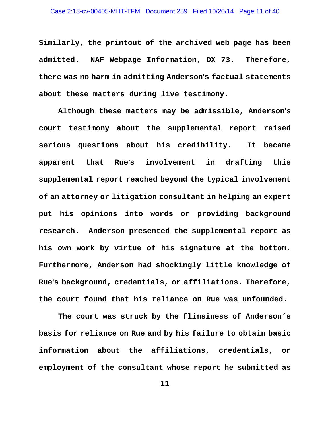**Similarly, the printout of the archived web page has been admitted. NAF Webpage Information, DX 73. Therefore, there was no harm in admitting Anderson**=**s factual statements about these matters during live testimony.** 

**Although these matters may be admissible, Anderson**=**s court testimony about the supplemental report raised serious questions about his credibility. It became**  apparent that Rue's involvement in drafting this **supplemental report reached beyond the typical involvement of an attorney or litigation consultant in helping an expert put his opinions into words or providing background research. Anderson presented the supplemental report as his own work by virtue of his signature at the bottom. Furthermore, Anderson had shockingly little knowledge of**  Rue's background, credentials, or affiliations. Therefore, **the court found that his reliance on Rue was unfounded.** 

**The court was struck by the flimsiness of Anderson's basis for reliance on Rue and by his failure to obtain basic information about the affiliations, credentials, or employment of the consultant whose report he submitted as**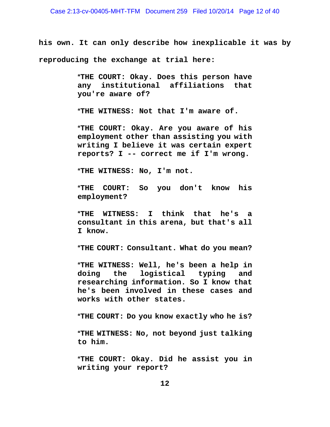**his own. It can only describe how inexplicable it was by reproducing the exchange at trial here:** 

> A**THE COURT: Okay. Does this person have any institutional affiliations that you're aware of?**

A**THE WITNESS: Not that I'm aware of.** 

A**THE COURT: Okay. Are you aware of his employment other than assisting you with writing I believe it was certain expert reports? I -- correct me if I'm wrong.** 

A**THE WITNESS: No, I'm not.** 

A**THE COURT: So you don't know his employment?** 

A**THE WITNESS: I think that he's a consultant in this arena, but that's all I know.** 

A**THE COURT: Consultant. What do you mean?** 

A**THE WITNESS: Well, he's been a help in doing the logistical typing and researching information. So I know that he's been involved in these cases and works with other states.** 

A**THE COURT: Do you know exactly who he is?** 

A**THE WITNESS: No, not beyond just talking to him.** 

A**THE COURT: Okay. Did he assist you in writing your report?**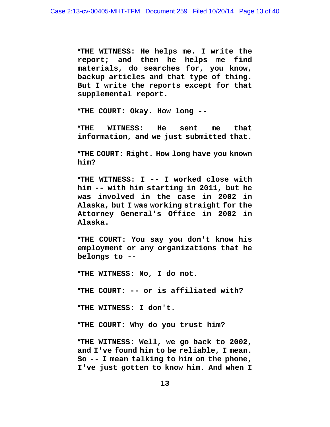A**THE WITNESS: He helps me. I write the report; and then he helps me find materials, do searches for, you know, backup articles and that type of thing. But I write the reports except for that supplemental report.** 

A**THE COURT: Okay. How long --** 

A**THE WITNESS: He sent me that information, and we just submitted that.** 

A**THE COURT: Right. How long have you known him?** 

A**THE WITNESS: I -- I worked close with him -- with him starting in 2011, but he was involved in the case in 2002 in Alaska, but I was working straight for the Attorney General's Office in 2002 in Alaska.** 

A**THE COURT: You say you don't know his employment or any organizations that he belongs to --** 

A**THE WITNESS: No, I do not.** 

A**THE COURT: -- or is affiliated with?** 

A**THE WITNESS: I don't.** 

A**THE COURT: Why do you trust him?** 

A**THE WITNESS: Well, we go back to 2002, and I've found him to be reliable, I mean. So -- I mean talking to him on the phone, I've just gotten to know him. And when I**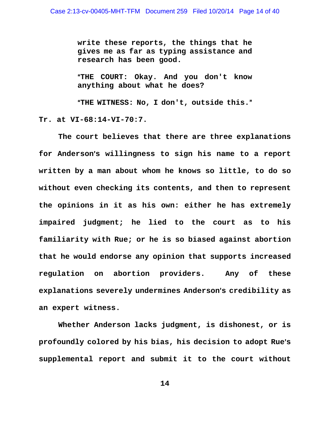**write these reports, the things that he gives me as far as typing assistance and research has been good.** 

A**THE COURT: Okay. And you don't know anything about what he does?** 

A**THE WITNESS: No, I don't, outside this.**@

**Tr. at VI-68:14-VI-70:7.** 

 **The court believes that there are three explanations**  for Anderson's willingness to sign his name to a report **written by a man about whom he knows so little, to do so without even checking its contents, and then to represent the opinions in it as his own: either he has extremely impaired judgment; he lied to the court as to his familiarity with Rue; or he is so biased against abortion that he would endorse any opinion that supports increased regulation on abortion providers. Any of these**  explanations severely undermines Anderson's credibility as **an expert witness.** 

 **Whether Anderson lacks judgment, is dishonest, or is profoundly colored by his bias, his decision to adopt Rue**=**s supplemental report and submit it to the court without**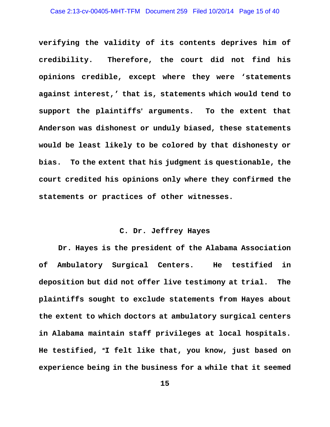**verifying the validity of its contents deprives him of credibility. Therefore, the court did not find his opinions credible, except where they were 'statements against interest,' that is, statements which would tend to support the plaintiffs**= **arguments. To the extent that Anderson was dishonest or unduly biased, these statements would be least likely to be colored by that dishonesty or bias. To the extent that his judgment is questionable, the court credited his opinions only where they confirmed the statements or practices of other witnesses.** 

# **C. Dr. Jeffrey Hayes**

**Dr. Hayes is the president of the Alabama Association of Ambulatory Surgical Centers. He testified in deposition but did not offer live testimony at trial. The plaintiffs sought to exclude statements from Hayes about the extent to which doctors at ambulatory surgical centers in Alabama maintain staff privileges at local hospitals. He testified,** A**I felt like that, you know, just based on experience being in the business for a while that it seemed**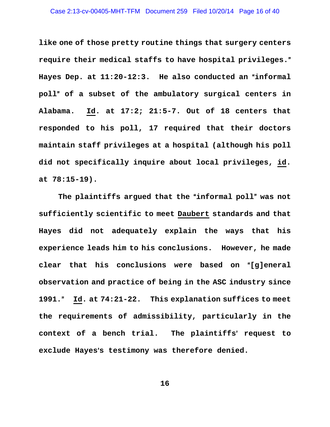**like one of those pretty routine things that surgery centers require their medical staffs to have hospital privileges.**@ Hayes Dep. at 11:20-12:3. He also conducted an "informal **poll**@ **of a subset of the ambulatory surgical centers in Alabama. Id. at 17:2; 21:5-7. Out of 18 centers that responded to his poll, 17 required that their doctors maintain staff privileges at a hospital (although his poll did not specifically inquire about local privileges, id. at 78:15-19).** 

The plaintiffs argued that the "informal poll" was not **sufficiently scientific to meet Daubert standards and that Hayes did not adequately explain the ways that his experience leads him to his conclusions. However, he made**  clear that his conclusions were based on "[g]eneral **observation and practice of being in the ASC industry since 1991.**@ **Id. at 74:21-22. This explanation suffices to meet the requirements of admissibility, particularly in the context of a bench trial. The plaintiffs**= **request to**  exclude Hayes's testimony was therefore denied.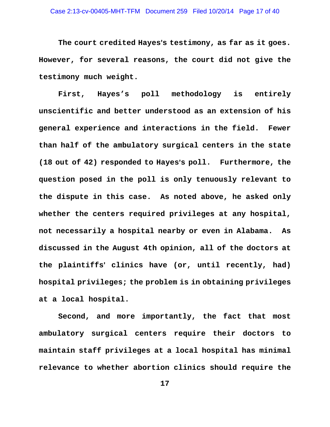The court credited Hayes's testimony, as far as it goes. **However, for several reasons, the court did not give the testimony much weight.** 

**First, Hayes's poll methodology is entirely unscientific and better understood as an extension of his general experience and interactions in the field. Fewer than half of the ambulatory surgical centers in the state (18 out of 42) responded to Hayes**=**s poll. Furthermore, the question posed in the poll is only tenuously relevant to the dispute in this case. As noted above, he asked only whether the centers required privileges at any hospital, not necessarily a hospital nearby or even in Alabama. As discussed in the August 4th opinion, all of the doctors at the plaintiffs**= **clinics have (or, until recently, had) hospital privileges; the problem is in obtaining privileges at a local hospital.** 

**Second, and more importantly, the fact that most ambulatory surgical centers require their doctors to maintain staff privileges at a local hospital has minimal relevance to whether abortion clinics should require the**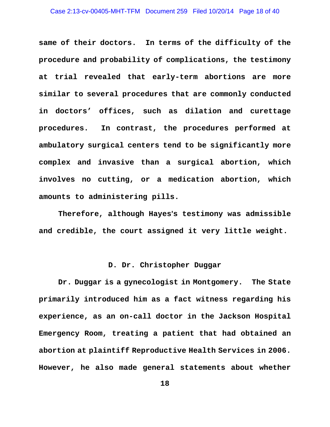#### Case 2:13-cv-00405-MHT-TFM Document 259 Filed 10/20/14 Page 18 of 40

**same of their doctors. In terms of the difficulty of the procedure and probability of complications, the testimony at trial revealed that early-term abortions are more similar to several procedures that are commonly conducted in doctors' offices, such as dilation and curettage procedures. In contrast, the procedures performed at ambulatory surgical centers tend to be significantly more complex and invasive than a surgical abortion, which involves no cutting, or a medication abortion, which amounts to administering pills.** 

**Therefore, although Hayes**=**s testimony was admissible and credible, the court assigned it very little weight.** 

# **D. Dr. Christopher Duggar**

**Dr. Duggar is a gynecologist in Montgomery. The State primarily introduced him as a fact witness regarding his experience, as an on-call doctor in the Jackson Hospital Emergency Room, treating a patient that had obtained an abortion at plaintiff Reproductive Health Services in 2006. However, he also made general statements about whether**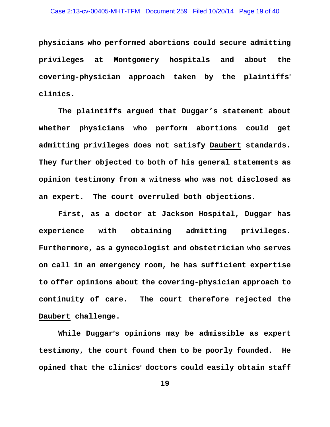#### Case 2:13-cv-00405-MHT-TFM Document 259 Filed 10/20/14 Page 19 of 40

**physicians who performed abortions could secure admitting privileges at Montgomery hospitals and about the covering-physician approach taken by the plaintiffs**= **clinics.** 

**The plaintiffs argued that Duggar's statement about whether physicians who perform abortions could get admitting privileges does not satisfy Daubert standards. They further objected to both of his general statements as opinion testimony from a witness who was not disclosed as an expert. The court overruled both objections.** 

**First, as a doctor at Jackson Hospital, Duggar has experience with obtaining admitting privileges. Furthermore, as a gynecologist and obstetrician who serves on call in an emergency room, he has sufficient expertise to offer opinions about the covering-physician approach to continuity of care. The court therefore rejected the Daubert challenge.** 

While Duggar's opinions may be admissible as expert **testimony, the court found them to be poorly founded. He opined that the clinics**= **doctors could easily obtain staff**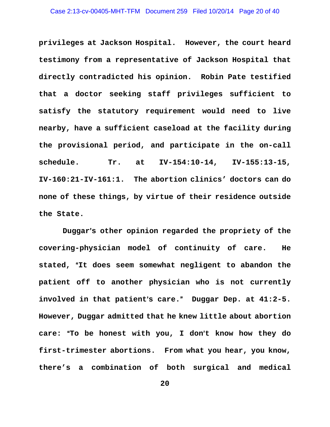**privileges at Jackson Hospital. However, the court heard testimony from a representative of Jackson Hospital that directly contradicted his opinion. Robin Pate testified that a doctor seeking staff privileges sufficient to satisfy the statutory requirement would need to live nearby, have a sufficient caseload at the facility during the provisional period, and participate in the on-call schedule. Tr. at IV-154:10-14, IV-155:13-15, IV-160:21-IV-161:1. The abortion clinics' doctors can do none of these things, by virtue of their residence outside the State.** 

 **Duggar**=**s other opinion regarded the propriety of the covering-physician model of continuity of care. He**  stated, "It does seem somewhat negligent to abandon the **patient off to another physician who is not currently involved in that patient**=**s care.**@ **Duggar Dep. at 41:2-5. However, Duggar admitted that he knew little about abortion**  care: "To be honest with you, I don't know how they do **first-trimester abortions. From what you hear, you know, there's a combination of both surgical and medical**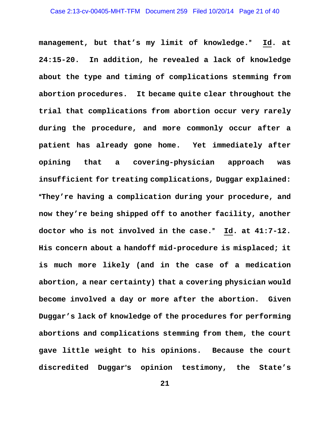**management, but that's my limit of knowledge.**@ **Id. at 24:15-20. In addition, he revealed a lack of knowledge about the type and timing of complications stemming from abortion procedures. It became quite clear throughout the trial that complications from abortion occur very rarely during the procedure, and more commonly occur after a patient has already gone home. Yet immediately after opining that a covering-physician approach was insufficient for treating complications, Duggar explained:**  A**They're having a complication during your procedure, and now they're being shipped off to another facility, another doctor who is not involved in the case.**@ **Id. at 41:7-12. His concern about a handoff mid-procedure is misplaced; it is much more likely (and in the case of a medication abortion, a near certainty) that a covering physician would become involved a day or more after the abortion. Given Duggar's lack of knowledge of the procedures for performing abortions and complications stemming from them, the court gave little weight to his opinions. Because the court discredited Duggar**=**s opinion testimony, the State's**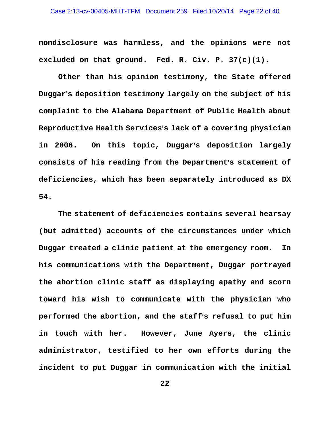**nondisclosure was harmless, and the opinions were not excluded on that ground. Fed. R. Civ. P. 37(c)(1).** 

**Other than his opinion testimony, the State offered Duggar**=**s deposition testimony largely on the subject of his complaint to the Alabama Department of Public Health about Reproductive Health Services**=**s lack of a covering physician**  in 2006. On this topic, Duggar's deposition largely **consists of his reading from the Department**=**s statement of deficiencies, which has been separately introduced as DX 54.** 

**The statement of deficiencies contains several hearsay (but admitted) accounts of the circumstances under which Duggar treated a clinic patient at the emergency room. In his communications with the Department, Duggar portrayed the abortion clinic staff as displaying apathy and scorn toward his wish to communicate with the physician who**  performed the abortion, and the staff's refusal to put him **in touch with her. However, June Ayers, the clinic administrator, testified to her own efforts during the incident to put Duggar in communication with the initial**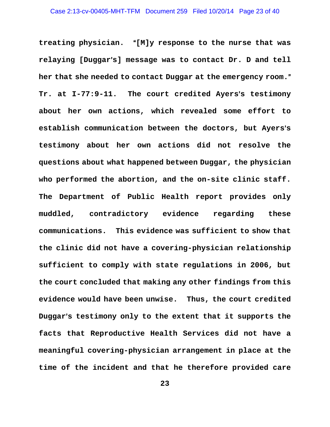treating physician. "[M]y response to the nurse that was **relaying [Duggar**=**s] message was to contact Dr. D and tell**  her that she needed to contact Duggar at the emergency room." **Tr. at I-77:9-11.** The court credited Ayers's testimony **about her own actions, which revealed some effort to**  establish communication between the doctors, but Ayers's **testimony about her own actions did not resolve the questions about what happened between Duggar, the physician who performed the abortion, and the on-site clinic staff. The Department of Public Health report provides only muddled, contradictory evidence regarding these communications. This evidence was sufficient to show that the clinic did not have a covering-physician relationship sufficient to comply with state regulations in 2006, but the court concluded that making any other findings from this evidence would have been unwise. Thus, the court credited**  Duggar's testimony only to the extent that it supports the **facts that Reproductive Health Services did not have a meaningful covering-physician arrangement in place at the time of the incident and that he therefore provided care**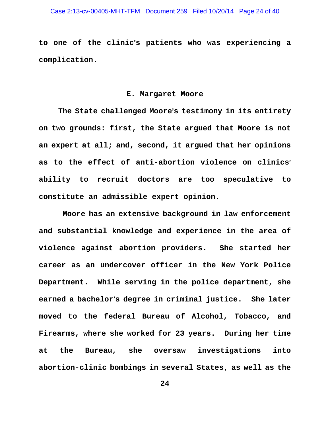**to one of the clinic**=**s patients who was experiencing a complication.** 

## **E. Margaret Moore**

**The State challenged Moore**=**s testimony in its entirety on two grounds: first, the State argued that Moore is not an expert at all; and, second, it argued that her opinions**  as to the effect of anti-abortion violence on clinics' **ability to recruit doctors are too speculative to constitute an admissible expert opinion.** 

 **Moore has an extensive background in law enforcement and substantial knowledge and experience in the area of violence against abortion providers. She started her career as an undercover officer in the New York Police Department. While serving in the police department, she earned a bachelor**=**s degree in criminal justice. She later moved to the federal Bureau of Alcohol, Tobacco, and Firearms, where she worked for 23 years. During her time at the Bureau, she oversaw investigations into abortion-clinic bombings in several States, as well as the**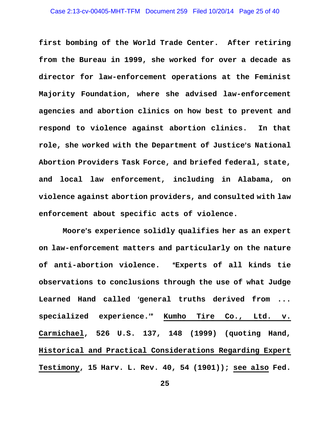**first bombing of the World Trade Center. After retiring from the Bureau in 1999, she worked for over a decade as director for law-enforcement operations at the Feminist Majority Foundation, where she advised law-enforcement agencies and abortion clinics on how best to prevent and respond to violence against abortion clinics. In that role, she worked with the Department of Justice**=**s National Abortion Providers Task Force, and briefed federal, state, and local law enforcement, including in Alabama, on violence against abortion providers, and consulted with law enforcement about specific acts of violence.** 

 **Moore**=**s experience solidly qualifies her as an expert on law-enforcement matters and particularly on the nature of anti-abortion violence.** A**Experts of all kinds tie observations to conclusions through the use of what Judge**  Learned Hand called 'general truths derived from ... specialized experience.<sup>"</sup> Kumho Tire Co., Ltd. v. **Carmichael, 526 U.S. 137, 148 (1999) (quoting Hand, Historical and Practical Considerations Regarding Expert Testimony, 15 Harv. L. Rev. 40, 54 (1901)); see also Fed.**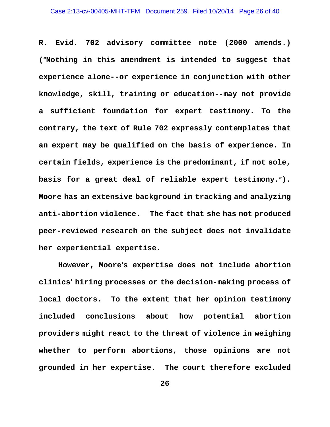**R. Evid. 702 advisory committee note (2000 amends.)**  ("Nothing in this amendment is intended to suggest that **experience alone--or experience in conjunction with other knowledge, skill, training or education--may not provide a sufficient foundation for expert testimony. To the contrary, the text of Rule 702 expressly contemplates that an expert may be qualified on the basis of experience. In certain fields, experience is the predominant, if not sole,**  basis for a great deal of reliable expert testimony."). **Moore has an extensive background in tracking and analyzing anti-abortion violence. The fact that she has not produced peer-reviewed research on the subject does not invalidate her experiential expertise.** 

However, Moore's expertise does not include abortion **clinics**= **hiring processes or the decision-making process of local doctors. To the extent that her opinion testimony included conclusions about how potential abortion providers might react to the threat of violence in weighing whether to perform abortions, those opinions are not grounded in her expertise. The court therefore excluded**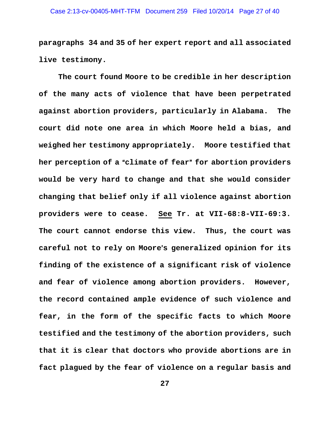**paragraphs 34 and 35 of her expert report and all associated live testimony.** 

**The court found Moore to be credible in her description of the many acts of violence that have been perpetrated against abortion providers, particularly in Alabama. The court did note one area in which Moore held a bias, and weighed her testimony appropriately. Moore testified that**  her perception of a "climate of fear" for abortion providers **would be very hard to change and that she would consider changing that belief only if all violence against abortion providers were to cease. See Tr. at VII-68:8-VII-69:3. The court cannot endorse this view. Thus, the court was**  careful not to rely on Moore's generalized opinion for its **finding of the existence of a significant risk of violence and fear of violence among abortion providers. However, the record contained ample evidence of such violence and fear, in the form of the specific facts to which Moore testified and the testimony of the abortion providers, such that it is clear that doctors who provide abortions are in fact plagued by the fear of violence on a regular basis and**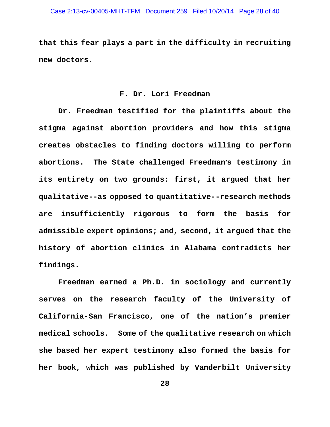**that this fear plays a part in the difficulty in recruiting new doctors.** 

## **F. Dr. Lori Freedman**

**Dr. Freedman testified for the plaintiffs about the stigma against abortion providers and how this stigma creates obstacles to finding doctors willing to perform**  abortions. The State challenged Freedman's testimony in **its entirety on two grounds: first, it argued that her qualitative--as opposed to quantitative--research methods are insufficiently rigorous to form the basis for admissible expert opinions; and, second, it argued that the history of abortion clinics in Alabama contradicts her findings.** 

**Freedman earned a Ph.D. in sociology and currently serves on the research faculty of the University of California-San Francisco, one of the nation's premier medical schools. Some of the qualitative research on which she based her expert testimony also formed the basis for her book, which was published by Vanderbilt University**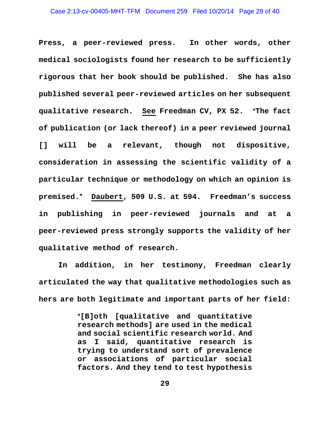**Press, a peer-reviewed press. In other words, other medical sociologists found her research to be sufficiently rigorous that her book should be published. She has also published several peer-reviewed articles on her subsequent qualitative research.** See Freedman CV, PX 52. "The fact **of publication (or lack thereof) in a peer reviewed journal [] will be a relevant, though not dispositive, consideration in assessing the scientific validity of a particular technique or methodology on which an opinion is premised.**@ **Daubert, 509 U.S. at 594. Freedman's success in publishing in peer-reviewed journals and at a peer-reviewed press strongly supports the validity of her qualitative method of research.** 

**In addition, in her testimony, Freedman clearly articulated the way that qualitative methodologies such as hers are both legitimate and important parts of her field:** 

> A**[B]oth [qualitative and quantitative research methods] are used in the medical and social scientific research world. And as I said, quantitative research is trying to understand sort of prevalence or associations of particular social factors. And they tend to test hypothesis**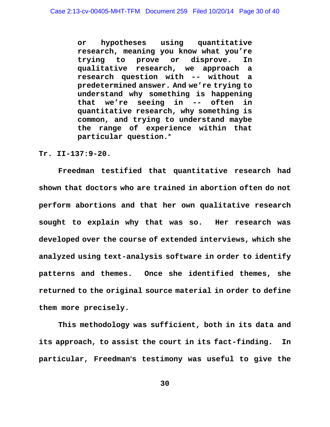**or hypotheses using quantitative research, meaning you know what you're trying to prove or disprove. In qualitative research, we approach a research question with -- without a predetermined answer. And we're trying to understand why something is happening that we're seeing in -- often in quantitative research, why something is common, and trying to understand maybe the range of experience within that particular question.**@

**Tr. II-137:9-20.** 

**Freedman testified that quantitative research had shown that doctors who are trained in abortion often do not perform abortions and that her own qualitative research sought to explain why that was so. Her research was developed over the course of extended interviews, which she analyzed using text-analysis software in order to identify patterns and themes. Once she identified themes, she returned to the original source material in order to define them more precisely.** 

**This methodology was sufficient, both in its data and its approach, to assist the court in its fact-finding. In**  particular, Freedman's testimony was useful to give the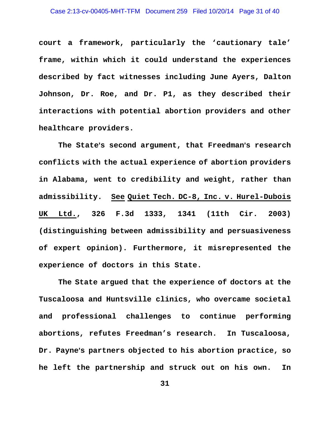**court a framework, particularly the 'cautionary tale' frame, within which it could understand the experiences described by fact witnesses including June Ayers, Dalton Johnson, Dr. Roe, and Dr. P1, as they described their interactions with potential abortion providers and other healthcare providers.** 

The State's second argument, that Freedman's research **conflicts with the actual experience of abortion providers in Alabama, went to credibility and weight, rather than admissibility. See Quiet Tech. DC-8, Inc. v. Hurel-Dubois UK Ltd., 326 F.3d 1333, 1341 (11th Cir. 2003) (distinguishing between admissibility and persuasiveness of expert opinion). Furthermore, it misrepresented the experience of doctors in this State.** 

**The State argued that the experience of doctors at the Tuscaloosa and Huntsville clinics, who overcame societal and professional challenges to continue performing abortions, refutes Freedman's research. In Tuscaloosa, Dr. Payne**=**s partners objected to his abortion practice, so he left the partnership and struck out on his own. In**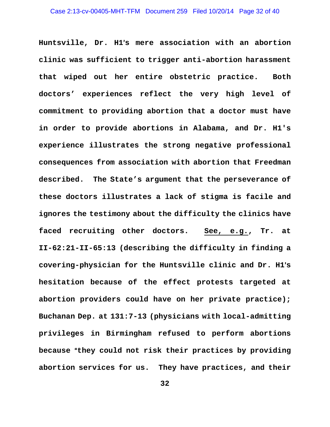**Huntsville, Dr. H1**=**s mere association with an abortion clinic was sufficient to trigger anti-abortion harassment that wiped out her entire obstetric practice. Both doctors' experiences reflect the very high level of commitment to providing abortion that a doctor must have in order to provide abortions in Alabama, and Dr. H1's experience illustrates the strong negative professional consequences from association with abortion that Freedman described. The State's argument that the perseverance of these doctors illustrates a lack of stigma is facile and ignores the testimony about the difficulty the clinics have faced recruiting other doctors. See, e.g., Tr. at II-62:21-II-65:13 (describing the difficulty in finding a**  covering-physician for the Huntsville clinic and Dr. H1's **hesitation because of the effect protests targeted at abortion providers could have on her private practice); Buchanan Dep. at 131:7-13 (physicians with local-admitting privileges in Birmingham refused to perform abortions**  because "they could not risk their practices by providing **abortion services for us. They have practices, and their**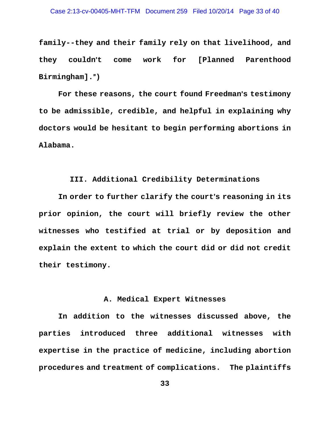**family--they and their family rely on that livelihood, and they couldn**=**t come work for [Planned Parenthood Birmingham].**@**)** 

For these reasons, the court found Freedman's testimony **to be admissible, credible, and helpful in explaining why doctors would be hesitant to begin performing abortions in Alabama.** 

# **III. Additional Credibility Determinations**

In order to further clarify the court's reasoning in its **prior opinion, the court will briefly review the other witnesses who testified at trial or by deposition and explain the extent to which the court did or did not credit their testimony.** 

# **A. Medical Expert Witnesses**

**In addition to the witnesses discussed above, the parties introduced three additional witnesses with expertise in the practice of medicine, including abortion procedures and treatment of complications. The plaintiffs**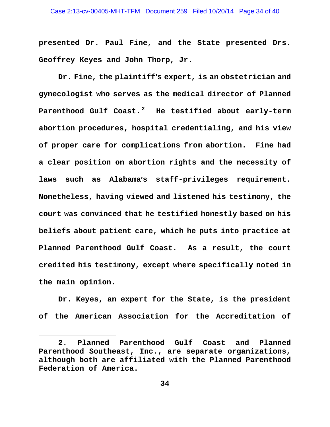#### Case 2:13-cv-00405-MHT-TFM Document 259 Filed 10/20/14 Page 34 of 40

**presented Dr. Paul Fine, and the State presented Drs. Geoffrey Keyes and John Thorp, Jr.** 

**Dr. Fine, the plaintiff**=**s expert, is an obstetrician and gynecologist who serves as the medical director of Planned Parenthood Gulf Coast. 2 He testified about early-term abortion procedures, hospital credentialing, and his view of proper care for complications from abortion. Fine had a clear position on abortion rights and the necessity of**  laws such as Alabama's staff-privileges requirement. **Nonetheless, having viewed and listened his testimony, the court was convinced that he testified honestly based on his beliefs about patient care, which he puts into practice at Planned Parenthood Gulf Coast. As a result, the court credited his testimony, except where specifically noted in the main opinion.** 

**Dr. Keyes, an expert for the State, is the president of the American Association for the Accreditation of** 

i<br>Li

**<sup>2.</sup> Planned Parenthood Gulf Coast and Planned Parenthood Southeast, Inc., are separate organizations, although both are affiliated with the Planned Parenthood Federation of America.**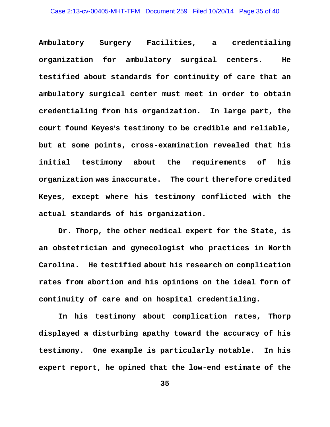**Ambulatory Surgery Facilities, a credentialing organization for ambulatory surgical centers. He testified about standards for continuity of care that an ambulatory surgical center must meet in order to obtain credentialing from his organization. In large part, the**  court found Keyes's testimony to be credible and reliable, **but at some points, cross-examination revealed that his initial testimony about the requirements of his organization was inaccurate. The court therefore credited Keyes, except where his testimony conflicted with the actual standards of his organization.** 

**Dr. Thorp, the other medical expert for the State, is an obstetrician and gynecologist who practices in North Carolina. He testified about his research on complication rates from abortion and his opinions on the ideal form of continuity of care and on hospital credentialing.** 

**In his testimony about complication rates, Thorp displayed a disturbing apathy toward the accuracy of his testimony. One example is particularly notable. In his expert report, he opined that the low-end estimate of the**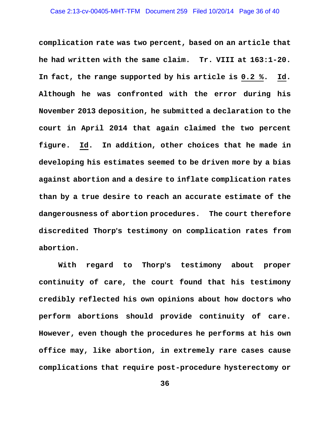**complication rate was two percent, based on an article that he had written with the same claim. Tr. VIII at 163:1-20. In fact, the range supported by his article is 0.2 %. Id. Although he was confronted with the error during his November 2013 deposition, he submitted a declaration to the court in April 2014 that again claimed the two percent figure. Id. In addition, other choices that he made in developing his estimates seemed to be driven more by a bias against abortion and a desire to inflate complication rates than by a true desire to reach an accurate estimate of the dangerousness of abortion procedures. The court therefore discredited Thorp**=**s testimony on complication rates from abortion.** 

With regard to Thorp's testimony about proper **continuity of care, the court found that his testimony credibly reflected his own opinions about how doctors who perform abortions should provide continuity of care. However, even though the procedures he performs at his own office may, like abortion, in extremely rare cases cause complications that require post-procedure hysterectomy or**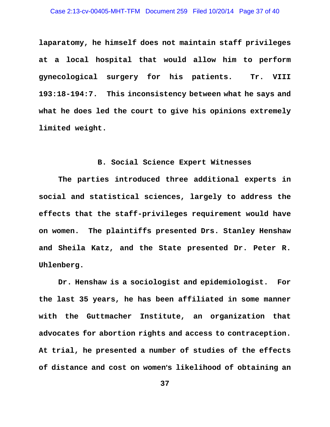#### Case 2:13-cv-00405-MHT-TFM Document 259 Filed 10/20/14 Page 37 of 40

**laparatomy, he himself does not maintain staff privileges at a local hospital that would allow him to perform gynecological surgery for his patients. Tr. VIII 193:18-194:7. This inconsistency between what he says and what he does led the court to give his opinions extremely limited weight.** 

## **B. Social Science Expert Witnesses**

**The parties introduced three additional experts in social and statistical sciences, largely to address the effects that the staff-privileges requirement would have on women. The plaintiffs presented Drs. Stanley Henshaw and Sheila Katz, and the State presented Dr. Peter R. Uhlenberg.** 

**Dr. Henshaw is a sociologist and epidemiologist. For the last 35 years, he has been affiliated in some manner with the Guttmacher Institute, an organization that advocates for abortion rights and access to contraception. At trial, he presented a number of studies of the effects**  of distance and cost on women's likelihood of obtaining an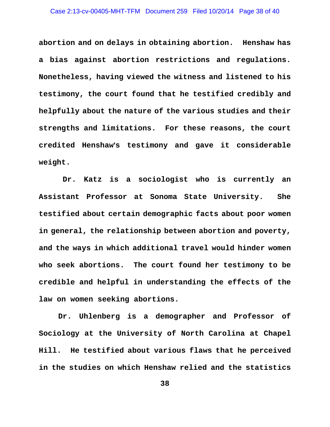**abortion and on delays in obtaining abortion. Henshaw has a bias against abortion restrictions and regulations. Nonetheless, having viewed the witness and listened to his testimony, the court found that he testified credibly and helpfully about the nature of the various studies and their strengths and limitations. For these reasons, the court credited Henshaw**=**s testimony and gave it considerable weight.** 

 **Dr. Katz is a sociologist who is currently an Assistant Professor at Sonoma State University. She testified about certain demographic facts about poor women in general, the relationship between abortion and poverty, and the ways in which additional travel would hinder women who seek abortions. The court found her testimony to be credible and helpful in understanding the effects of the law on women seeking abortions.** 

**Dr. Uhlenberg is a demographer and Professor of Sociology at the University of North Carolina at Chapel Hill. He testified about various flaws that he perceived in the studies on which Henshaw relied and the statistics**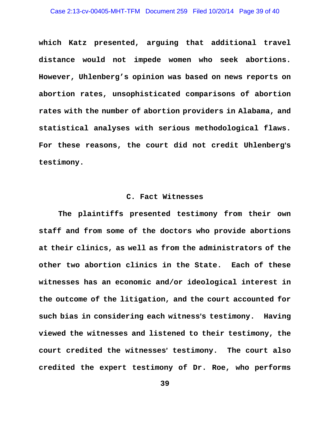#### Case 2:13-cv-00405-MHT-TFM Document 259 Filed 10/20/14 Page 39 of 40

**which Katz presented, arguing that additional travel distance would not impede women who seek abortions. However, Uhlenberg's opinion was based on news reports on abortion rates, unsophisticated comparisons of abortion rates with the number of abortion providers in Alabama, and statistical analyses with serious methodological flaws.**  For these reasons, the court did not credit Uhlenberg's **testimony.** 

## **C. Fact Witnesses**

**The plaintiffs presented testimony from their own staff and from some of the doctors who provide abortions at their clinics, as well as from the administrators of the other two abortion clinics in the State. Each of these witnesses has an economic and/or ideological interest in the outcome of the litigation, and the court accounted for**  such bias in considering each witness's testimony. Having **viewed the witnesses and listened to their testimony, the**  court credited the witnesses' testimony. The court also **credited the expert testimony of Dr. Roe, who performs**